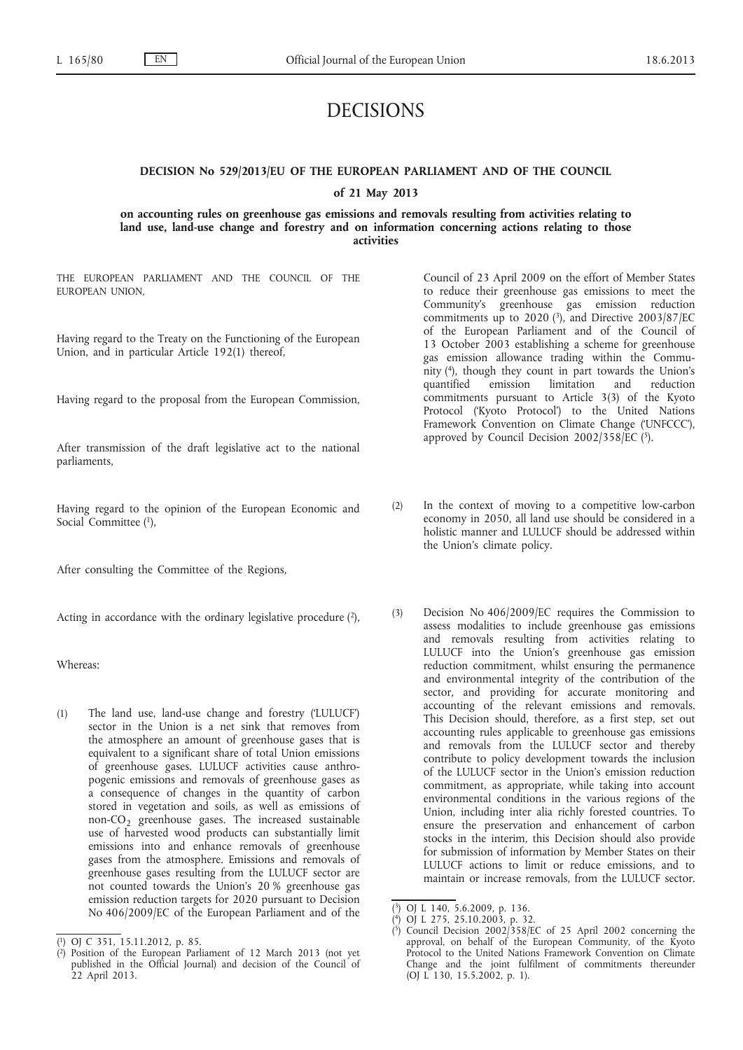# DECISIONS

# **DECISION No 529/2013/EU OF THE EUROPEAN PARLIAMENT AND OF THE COUNCIL of 21 May 2013**

**on accounting rules on greenhouse gas emissions and removals resulting from activities relating to land use, land-use change and forestry and on information concerning actions relating to those activities**

THE EUROPEAN PARLIAMENT AND THE COUNCIL OF THE EUROPEAN UNION,

Having regard to the Treaty on the Functioning of the European Union, and in particular Article 192(1) thereof,

Having regard to the proposal from the European Commission,

After transmission of the draft legislative act to the national parliaments,

Having regard to the opinion of the European Economic and Social Committee (1),

After consulting the Committee of the Regions,

Acting in accordance with the ordinary legislative procedure  $(2)$ ,

Whereas:

(1) The land use, land-use change and forestry ('LULUCF') sector in the Union is a net sink that removes from the atmosphere an amount of greenhouse gases that is equivalent to a significant share of total Union emissions of greenhouse gases. LULUCF activities cause anthropogenic emissions and removals of greenhouse gases as a consequence of changes in the quantity of carbon stored in vegetation and soils, as well as emissions of non- $CO<sub>2</sub>$  greenhouse gases. The increased sustainable use of harvested wood products can substantially limit emissions into and enhance removals of greenhouse gases from the atmosphere. Emissions and removals of greenhouse gases resulting from the LULUCF sector are not counted towards the Union's 20 % greenhouse gas emission reduction targets for 2020 pursuant to Decision No 406/2009/EC of the European Parliament and of the Council of 23 April 2009 on the effort of Member States to reduce their greenhouse gas emissions to meet the Community's greenhouse gas emission reduction commitments up to 2020 (3), and Directive 2003/87/EC of the European Parliament and of the Council of 13 October 2003 establishing a scheme for greenhouse gas emission allowance trading within the Community (4), though they count in part towards the Union's quantified emission limitation and reduction commitments pursuant to Article 3(3) of the Kyoto Protocol ('Kyoto Protocol') to the United Nations Framework Convention on Climate Change ('UNFCCC'), approved by Council Decision  $2002/358/EC$  (5).

- (2) In the context of moving to a competitive low-carbon economy in 2050, all land use should be considered in a holistic manner and LULUCF should be addressed within the Union's climate policy.
- (3) Decision No 406/2009/EC requires the Commission to assess modalities to include greenhouse gas emissions and removals resulting from activities relating to LULUCF into the Union's greenhouse gas emission reduction commitment, whilst ensuring the permanence and environmental integrity of the contribution of the sector, and providing for accurate monitoring and accounting of the relevant emissions and removals. This Decision should, therefore, as a first step, set out accounting rules applicable to greenhouse gas emissions and removals from the LULUCF sector and thereby contribute to policy development towards the inclusion of the LULUCF sector in the Union's emission reduction commitment, as appropriate, while taking into account environmental conditions in the various regions of the Union, including inter alia richly forested countries. To ensure the preservation and enhancement of carbon stocks in the interim, this Decision should also provide for submission of information by Member States on their LULUCF actions to limit or reduce emissions, and to maintain or increase removals, from the LULUCF sector.

<sup>(</sup> 1) OJ C 351, 15.11.2012, p. 85.

<sup>(</sup> 2) Position of the European Parliament of 12 March 2013 (not yet published in the Official Journal) and decision of the Council of 22 April 2013.

<sup>(</sup> 3) OJ L 140, 5.6.2009, p. 136.

<sup>(</sup> 4) OJ L 275, 25.10.2003, p. 32.

<sup>(</sup> 5) Council Decision 2002/358/EC of 25 April 2002 concerning the approval, on behalf of the European Community, of the Kyoto Protocol to the United Nations Framework Convention on Climate Change and the joint fulfilment of commitments thereunder (OJ L 130, 15.5.2002, p. 1).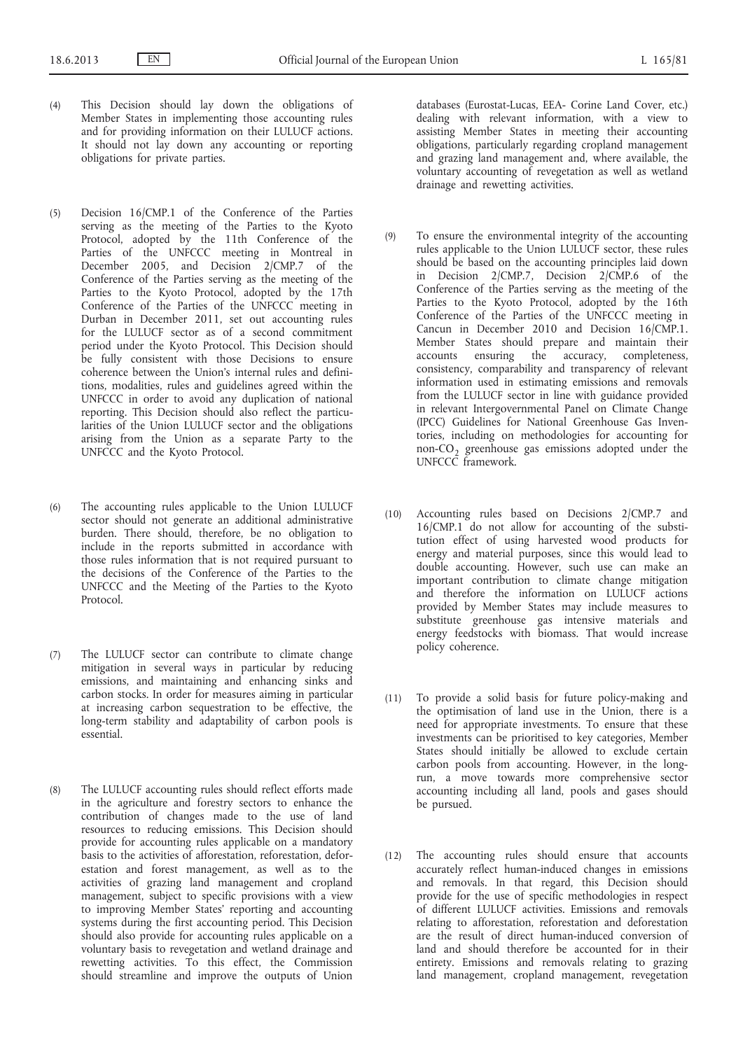- (4) This Decision should lay down the obligations of Member States in implementing those accounting rules and for providing information on their LULUCF actions. It should not lay down any accounting or reporting obligations for private parties.
- (5) Decision 16/CMP.1 of the Conference of the Parties serving as the meeting of the Parties to the Kyoto Protocol, adopted by the 11th Conference of the Parties of the UNFCCC meeting in Montreal in December 2005, and Decision 2/CMP.7 of the Conference of the Parties serving as the meeting of the Parties to the Kyoto Protocol, adopted by the 17th Conference of the Parties of the UNFCCC meeting in Durban in December 2011, set out accounting rules for the LULUCF sector as of a second commitment period under the Kyoto Protocol. This Decision should be fully consistent with those Decisions to ensure coherence between the Union's internal rules and definitions, modalities, rules and guidelines agreed within the UNFCCC in order to avoid any duplication of national reporting. This Decision should also reflect the particularities of the Union LULUCF sector and the obligations arising from the Union as a separate Party to the UNFCCC and the Kyoto Protocol.
- (6) The accounting rules applicable to the Union LULUCF sector should not generate an additional administrative burden. There should, therefore, be no obligation to include in the reports submitted in accordance with those rules information that is not required pursuant to the decisions of the Conference of the Parties to the UNFCCC and the Meeting of the Parties to the Kyoto Protocol.
- (7) The LULUCF sector can contribute to climate change mitigation in several ways in particular by reducing emissions, and maintaining and enhancing sinks and carbon stocks. In order for measures aiming in particular at increasing carbon sequestration to be effective, the long-term stability and adaptability of carbon pools is essential.
- (8) The LULUCF accounting rules should reflect efforts made in the agriculture and forestry sectors to enhance the contribution of changes made to the use of land resources to reducing emissions. This Decision should provide for accounting rules applicable on a mandatory basis to the activities of afforestation, reforestation, deforestation and forest management, as well as to the activities of grazing land management and cropland management, subject to specific provisions with a view to improving Member States' reporting and accounting systems during the first accounting period. This Decision should also provide for accounting rules applicable on a voluntary basis to revegetation and wetland drainage and rewetting activities. To this effect, the Commission should streamline and improve the outputs of Union

databases (Eurostat-Lucas, EEA- Corine Land Cover, etc.) dealing with relevant information, with a view to assisting Member States in meeting their accounting obligations, particularly regarding cropland management and grazing land management and, where available, the voluntary accounting of revegetation as well as wetland drainage and rewetting activities.

- (9) To ensure the environmental integrity of the accounting rules applicable to the Union LULUCF sector, these rules should be based on the accounting principles laid down in Decision 2/CMP.7, Decision 2/CMP.6 of the Conference of the Parties serving as the meeting of the Parties to the Kyoto Protocol, adopted by the 16th Conference of the Parties of the UNFCCC meeting in Cancun in December 2010 and Decision 16/CMP.1. Member States should prepare and maintain their accounts ensuring the accuracy, completeness, consistency, comparability and transparency of relevant information used in estimating emissions and removals from the LULUCF sector in line with guidance provided in relevant Intergovernmental Panel on Climate Change (IPCC) Guidelines for National Greenhouse Gas Inventories, including on methodologies for accounting for non-CO<sub>2</sub> greenhouse gas emissions adopted under the UNFCCC framework.
- (10) Accounting rules based on Decisions 2/CMP.7 and 16/CMP.1 do not allow for accounting of the substitution effect of using harvested wood products for energy and material purposes, since this would lead to double accounting. However, such use can make an important contribution to climate change mitigation and therefore the information on LULUCF actions provided by Member States may include measures to substitute greenhouse gas intensive materials and energy feedstocks with biomass. That would increase policy coherence.
- (11) To provide a solid basis for future policy-making and the optimisation of land use in the Union, there is a need for appropriate investments. To ensure that these investments can be prioritised to key categories, Member States should initially be allowed to exclude certain carbon pools from accounting. However, in the longrun, a move towards more comprehensive sector accounting including all land, pools and gases should be pursued.
- (12) The accounting rules should ensure that accounts accurately reflect human-induced changes in emissions and removals. In that regard, this Decision should provide for the use of specific methodologies in respect of different LULUCF activities. Emissions and removals relating to afforestation, reforestation and deforestation are the result of direct human-induced conversion of land and should therefore be accounted for in their entirety. Emissions and removals relating to grazing land management, cropland management, revegetation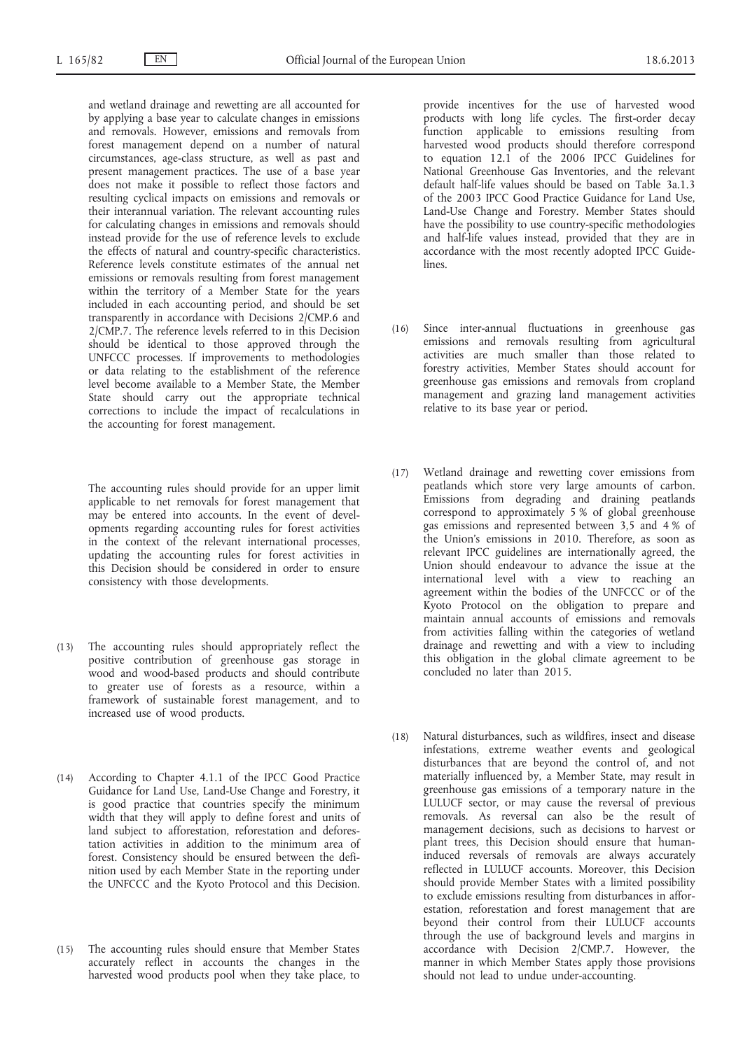and wetland drainage and rewetting are all accounted for by applying a base year to calculate changes in emissions and removals. However, emissions and removals from forest management depend on a number of natural circumstances, age-class structure, as well as past and present management practices. The use of a base year does not make it possible to reflect those factors and resulting cyclical impacts on emissions and removals or their interannual variation. The relevant accounting rules for calculating changes in emissions and removals should instead provide for the use of reference levels to exclude the effects of natural and country-specific characteristics. Reference levels constitute estimates of the annual net emissions or removals resulting from forest management within the territory of a Member State for the years included in each accounting period, and should be set transparently in accordance with Decisions 2/CMP.6 and 2/CMP.7. The reference levels referred to in this Decision should be identical to those approved through the UNFCCC processes. If improvements to methodologies or data relating to the establishment of the reference level become available to a Member State, the Member State should carry out the appropriate technical corrections to include the impact of recalculations in the accounting for forest management.

The accounting rules should provide for an upper limit applicable to net removals for forest management that may be entered into accounts. In the event of developments regarding accounting rules for forest activities in the context of the relevant international processes, updating the accounting rules for forest activities in this Decision should be considered in order to ensure consistency with those developments.

- (13) The accounting rules should appropriately reflect the positive contribution of greenhouse gas storage in wood and wood-based products and should contribute to greater use of forests as a resource, within a framework of sustainable forest management, and to increased use of wood products.
- (14) According to Chapter 4.1.1 of the IPCC Good Practice Guidance for Land Use, Land-Use Change and Forestry, it is good practice that countries specify the minimum width that they will apply to define forest and units of land subject to afforestation, reforestation and deforestation activities in addition to the minimum area of forest. Consistency should be ensured between the definition used by each Member State in the reporting under the UNFCCC and the Kyoto Protocol and this Decision.
- (15) The accounting rules should ensure that Member States accurately reflect in accounts the changes in the harvested wood products pool when they take place, to

provide incentives for the use of harvested wood products with long life cycles. The first-order decay function applicable to emissions resulting from harvested wood products should therefore correspond to equation 12.1 of the 2006 IPCC Guidelines for National Greenhouse Gas Inventories, and the relevant default half-life values should be based on Table 3a.1.3 of the 2003 IPCC Good Practice Guidance for Land Use, Land-Use Change and Forestry. Member States should have the possibility to use country-specific methodologies and half-life values instead, provided that they are in accordance with the most recently adopted IPCC Guidelines.

- (16) Since inter-annual fluctuations in greenhouse gas emissions and removals resulting from agricultural activities are much smaller than those related to forestry activities, Member States should account for greenhouse gas emissions and removals from cropland management and grazing land management activities relative to its base year or period.
- (17) Wetland drainage and rewetting cover emissions from peatlands which store very large amounts of carbon. Emissions from degrading and draining peatlands correspond to approximately 5 % of global greenhouse gas emissions and represented between 3,5 and 4 % of the Union's emissions in 2010. Therefore, as soon as relevant IPCC guidelines are internationally agreed, the Union should endeavour to advance the issue at the international level with a view to reaching an agreement within the bodies of the UNFCCC or of the Kyoto Protocol on the obligation to prepare and maintain annual accounts of emissions and removals from activities falling within the categories of wetland drainage and rewetting and with a view to including this obligation in the global climate agreement to be concluded no later than 2015.
- (18) Natural disturbances, such as wildfires, insect and disease infestations, extreme weather events and geological disturbances that are beyond the control of, and not materially influenced by, a Member State, may result in greenhouse gas emissions of a temporary nature in the LULUCF sector, or may cause the reversal of previous removals. As reversal can also be the result of management decisions, such as decisions to harvest or plant trees, this Decision should ensure that humaninduced reversals of removals are always accurately reflected in LULUCF accounts. Moreover, this Decision should provide Member States with a limited possibility to exclude emissions resulting from disturbances in afforestation, reforestation and forest management that are beyond their control from their LULUCF accounts through the use of background levels and margins in accordance with Decision 2/CMP.7. However, the manner in which Member States apply those provisions should not lead to undue under-accounting.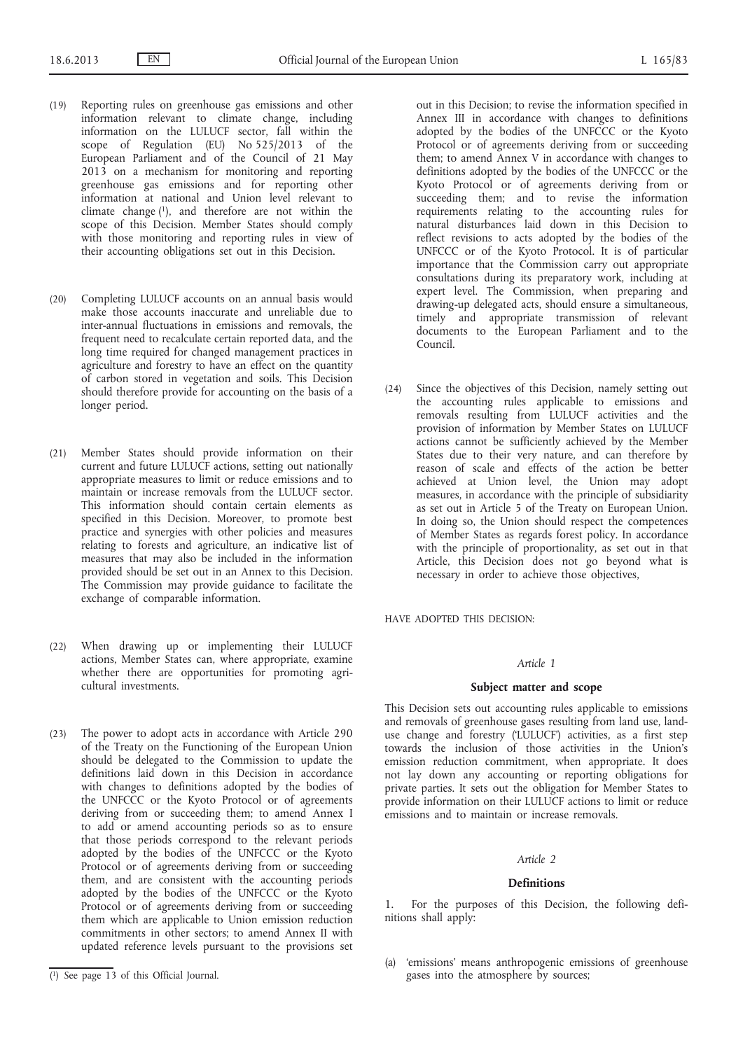- (19) Reporting rules on greenhouse gas emissions and other information relevant to climate change, including information on the LULUCF sector, fall within the scope of Regulation (EU) No 525/2013 of the European Parliament and of the Council of 21 May 2013 on a mechanism for monitoring and reporting greenhouse gas emissions and for reporting other information at national and Union level relevant to climate change (1), and therefore are not within the scope of this Decision. Member States should comply with those monitoring and reporting rules in view of their accounting obligations set out in this Decision.
- (20) Completing LULUCF accounts on an annual basis would make those accounts inaccurate and unreliable due to inter-annual fluctuations in emissions and removals, the frequent need to recalculate certain reported data, and the long time required for changed management practices in agriculture and forestry to have an effect on the quantity of carbon stored in vegetation and soils. This Decision should therefore provide for accounting on the basis of a longer period.
- (21) Member States should provide information on their current and future LULUCF actions, setting out nationally appropriate measures to limit or reduce emissions and to maintain or increase removals from the LULUCF sector. This information should contain certain elements as specified in this Decision. Moreover, to promote best practice and synergies with other policies and measures relating to forests and agriculture, an indicative list of measures that may also be included in the information provided should be set out in an Annex to this Decision. The Commission may provide guidance to facilitate the exchange of comparable information.
- (22) When drawing up or implementing their LULUCF actions, Member States can, where appropriate, examine whether there are opportunities for promoting agricultural investments.
- (23) The power to adopt acts in accordance with Article 290 of the Treaty on the Functioning of the European Union should be delegated to the Commission to update the definitions laid down in this Decision in accordance with changes to definitions adopted by the bodies of the UNFCCC or the Kyoto Protocol or of agreements deriving from or succeeding them; to amend Annex I to add or amend accounting periods so as to ensure that those periods correspond to the relevant periods adopted by the bodies of the UNFCCC or the Kyoto Protocol or of agreements deriving from or succeeding them, and are consistent with the accounting periods adopted by the bodies of the UNFCCC or the Kyoto Protocol or of agreements deriving from or succeeding them which are applicable to Union emission reduction commitments in other sectors; to amend Annex II with updated reference levels pursuant to the provisions set

out in this Decision; to revise the information specified in Annex III in accordance with changes to definitions adopted by the bodies of the UNFCCC or the Kyoto Protocol or of agreements deriving from or succeeding them; to amend Annex V in accordance with changes to definitions adopted by the bodies of the UNFCCC or the Kyoto Protocol or of agreements deriving from or succeeding them; and to revise the information requirements relating to the accounting rules for natural disturbances laid down in this Decision to reflect revisions to acts adopted by the bodies of the UNFCCC or of the Kyoto Protocol. It is of particular importance that the Commission carry out appropriate consultations during its preparatory work, including at expert level. The Commission, when preparing and drawing-up delegated acts, should ensure a simultaneous, timely and appropriate transmission of relevant documents to the European Parliament and to the Council.

(24) Since the objectives of this Decision, namely setting out the accounting rules applicable to emissions and removals resulting from LULUCF activities and the provision of information by Member States on LULUCF actions cannot be sufficiently achieved by the Member States due to their very nature, and can therefore by reason of scale and effects of the action be better achieved at Union level, the Union may adopt measures, in accordance with the principle of subsidiarity as set out in Article 5 of the Treaty on European Union. In doing so, the Union should respect the competences of Member States as regards forest policy. In accordance with the principle of proportionality, as set out in that Article, this Decision does not go beyond what is necessary in order to achieve those objectives,

HAVE ADOPTED THIS DECISION:

#### *Article 1*

## **Subject matter and scope**

This Decision sets out accounting rules applicable to emissions and removals of greenhouse gases resulting from land use, landuse change and forestry ('LULUCF') activities, as a first step towards the inclusion of those activities in the Union's emission reduction commitment, when appropriate. It does not lay down any accounting or reporting obligations for private parties. It sets out the obligation for Member States to provide information on their LULUCF actions to limit or reduce emissions and to maintain or increase removals.

#### *Article 2*

## **Definitions**

1. For the purposes of this Decision, the following definitions shall apply:

(a) 'emissions' means anthropogenic emissions of greenhouse gases into the atmosphere by sources;

<sup>(</sup> 1) See page 13 of this Official Journal.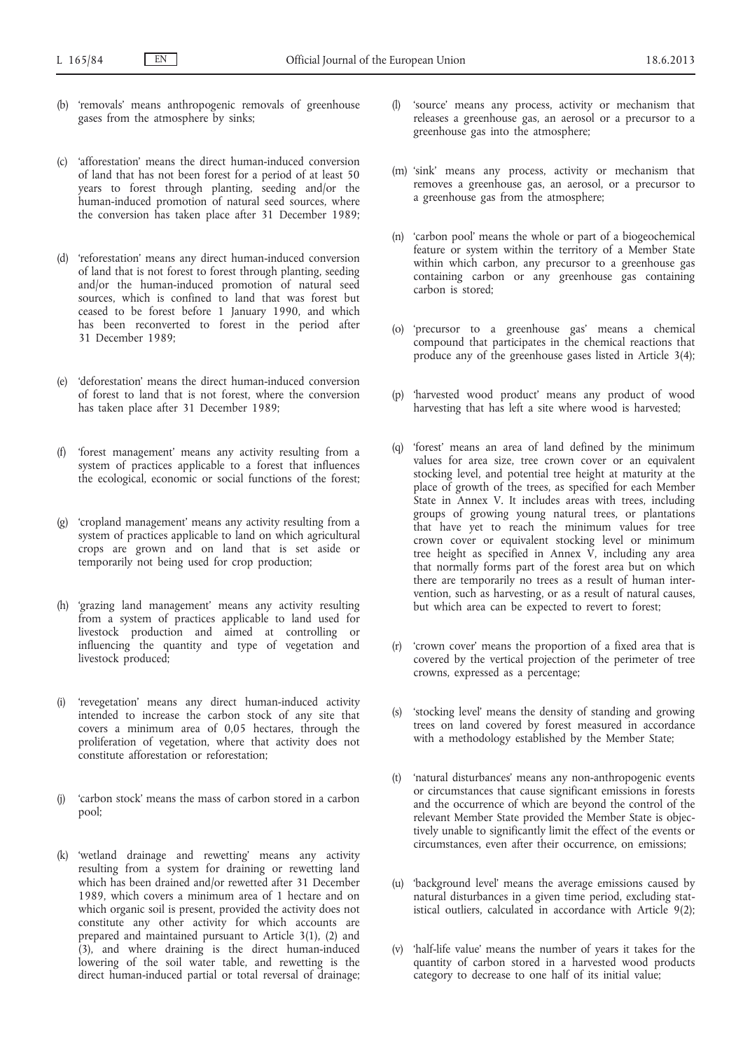- (b) 'removals' means anthropogenic removals of greenhouse gases from the atmosphere by sinks;
- (c) 'afforestation' means the direct human-induced conversion of land that has not been forest for a period of at least 50 years to forest through planting, seeding and/or the human-induced promotion of natural seed sources, where the conversion has taken place after 31 December 1989;
- (d) 'reforestation' means any direct human-induced conversion of land that is not forest to forest through planting, seeding and/or the human-induced promotion of natural seed sources, which is confined to land that was forest but ceased to be forest before 1 January 1990, and which has been reconverted to forest in the period after 31 December 1989;
- (e) 'deforestation' means the direct human-induced conversion of forest to land that is not forest, where the conversion has taken place after 31 December 1989;
- 'forest management' means any activity resulting from a system of practices applicable to a forest that influences the ecological, economic or social functions of the forest;
- (g) 'cropland management' means any activity resulting from a system of practices applicable to land on which agricultural crops are grown and on land that is set aside or temporarily not being used for crop production;
- (h) 'grazing land management' means any activity resulting from a system of practices applicable to land used for livestock production and aimed at controlling or influencing the quantity and type of vegetation and livestock produced;
- (i) 'revegetation' means any direct human-induced activity intended to increase the carbon stock of any site that covers a minimum area of 0,05 hectares, through the proliferation of vegetation, where that activity does not constitute afforestation or reforestation;
- (j) 'carbon stock' means the mass of carbon stored in a carbon pool;
- (k) 'wetland drainage and rewetting' means any activity resulting from a system for draining or rewetting land which has been drained and/or rewetted after 31 December 1989, which covers a minimum area of 1 hectare and on which organic soil is present, provided the activity does not constitute any other activity for which accounts are prepared and maintained pursuant to Article 3(1), (2) and (3), and where draining is the direct human-induced lowering of the soil water table, and rewetting is the direct human-induced partial or total reversal of drainage;
- (l) 'source' means any process, activity or mechanism that releases a greenhouse gas, an aerosol or a precursor to a greenhouse gas into the atmosphere;
- (m) 'sink' means any process, activity or mechanism that removes a greenhouse gas, an aerosol, or a precursor to a greenhouse gas from the atmosphere;
- (n) 'carbon pool' means the whole or part of a biogeochemical feature or system within the territory of a Member State within which carbon, any precursor to a greenhouse gas containing carbon or any greenhouse gas containing carbon is stored;
- (o) 'precursor to a greenhouse gas' means a chemical compound that participates in the chemical reactions that produce any of the greenhouse gases listed in Article 3(4);
- (p) 'harvested wood product' means any product of wood harvesting that has left a site where wood is harvested;
- (q) 'forest' means an area of land defined by the minimum values for area size, tree crown cover or an equivalent stocking level, and potential tree height at maturity at the place of growth of the trees, as specified for each Member State in Annex V. It includes areas with trees, including groups of growing young natural trees, or plantations that have yet to reach the minimum values for tree crown cover or equivalent stocking level or minimum tree height as specified in Annex V, including any area that normally forms part of the forest area but on which there are temporarily no trees as a result of human intervention, such as harvesting, or as a result of natural causes, but which area can be expected to revert to forest;
- (r) 'crown cover' means the proportion of a fixed area that is covered by the vertical projection of the perimeter of tree crowns, expressed as a percentage;
- (s) 'stocking level' means the density of standing and growing trees on land covered by forest measured in accordance with a methodology established by the Member State;
- (t) 'natural disturbances' means any non-anthropogenic events or circumstances that cause significant emissions in forests and the occurrence of which are beyond the control of the relevant Member State provided the Member State is objectively unable to significantly limit the effect of the events or circumstances, even after their occurrence, on emissions;
- (u) 'background level' means the average emissions caused by natural disturbances in a given time period, excluding statistical outliers, calculated in accordance with Article 9(2);
- (v) 'half-life value' means the number of years it takes for the quantity of carbon stored in a harvested wood products category to decrease to one half of its initial value;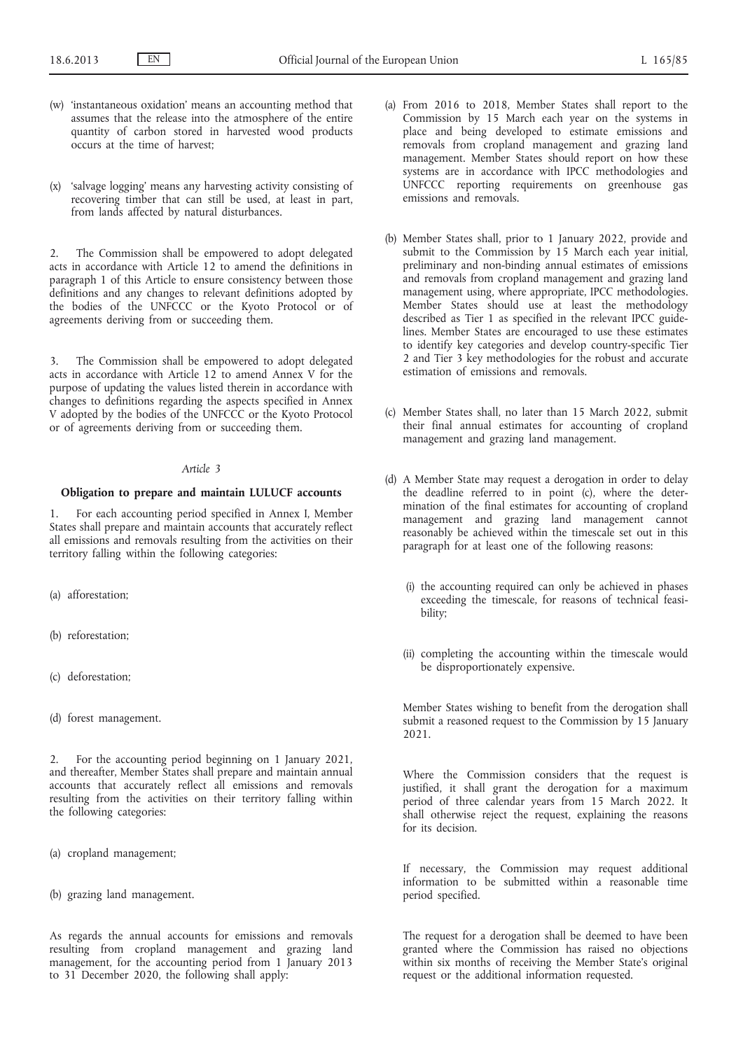- (w) 'instantaneous oxidation' means an accounting method that assumes that the release into the atmosphere of the entire quantity of carbon stored in harvested wood products occurs at the time of harvest;
- (x) 'salvage logging' means any harvesting activity consisting of recovering timber that can still be used, at least in part, from lands affected by natural disturbances.

2. The Commission shall be empowered to adopt delegated acts in accordance with Article 12 to amend the definitions in paragraph 1 of this Article to ensure consistency between those definitions and any changes to relevant definitions adopted by the bodies of the UNFCCC or the Kyoto Protocol or of agreements deriving from or succeeding them.

3. The Commission shall be empowered to adopt delegated acts in accordance with Article 12 to amend Annex V for the purpose of updating the values listed therein in accordance with changes to definitions regarding the aspects specified in Annex V adopted by the bodies of the UNFCCC or the Kyoto Protocol or of agreements deriving from or succeeding them.

#### *Article 3*

#### **Obligation to prepare and maintain LULUCF accounts**

1. For each accounting period specified in Annex I, Member States shall prepare and maintain accounts that accurately reflect all emissions and removals resulting from the activities on their territory falling within the following categories:

- (a) afforestation;
- (b) reforestation;
- (c) deforestation;
- (d) forest management.

2. For the accounting period beginning on 1 January 2021, and thereafter, Member States shall prepare and maintain annual accounts that accurately reflect all emissions and removals resulting from the activities on their territory falling within the following categories:

- (a) cropland management;
- (b) grazing land management.

As regards the annual accounts for emissions and removals resulting from cropland management and grazing land management, for the accounting period from 1 January 2013 to 31 December 2020, the following shall apply:

- (a) From 2016 to 2018, Member States shall report to the Commission by 15 March each year on the systems in place and being developed to estimate emissions and removals from cropland management and grazing land management. Member States should report on how these systems are in accordance with IPCC methodologies and UNFCCC reporting requirements on greenhouse gas emissions and removals.
- (b) Member States shall, prior to 1 January 2022, provide and submit to the Commission by 15 March each year initial, preliminary and non-binding annual estimates of emissions and removals from cropland management and grazing land management using, where appropriate, IPCC methodologies. Member States should use at least the methodology described as Tier 1 as specified in the relevant IPCC guidelines. Member States are encouraged to use these estimates to identify key categories and develop country-specific Tier 2 and Tier 3 key methodologies for the robust and accurate estimation of emissions and removals.
- (c) Member States shall, no later than 15 March 2022, submit their final annual estimates for accounting of cropland management and grazing land management.
- (d) A Member State may request a derogation in order to delay the deadline referred to in point (c), where the determination of the final estimates for accounting of cropland management and grazing land management cannot reasonably be achieved within the timescale set out in this paragraph for at least one of the following reasons:
	- (i) the accounting required can only be achieved in phases exceeding the timescale, for reasons of technical feasibility;
	- (ii) completing the accounting within the timescale would be disproportionately expensive.

Member States wishing to benefit from the derogation shall submit a reasoned request to the Commission by 15 January 2021.

Where the Commission considers that the request is justified, it shall grant the derogation for a maximum period of three calendar years from 15 March 2022. It shall otherwise reject the request, explaining the reasons for its decision.

If necessary, the Commission may request additional information to be submitted within a reasonable time period specified.

The request for a derogation shall be deemed to have been granted where the Commission has raised no objections within six months of receiving the Member State's original request or the additional information requested.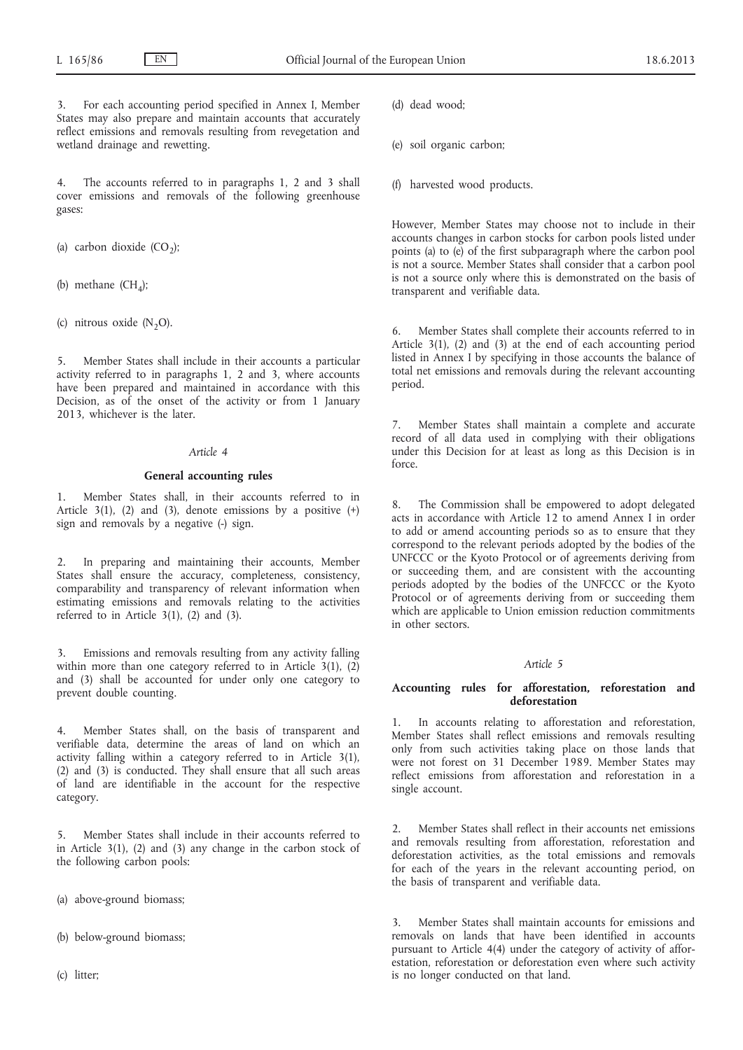3. For each accounting period specified in Annex I, Member States may also prepare and maintain accounts that accurately reflect emissions and removals resulting from revegetation and wetland drainage and rewetting.

4. The accounts referred to in paragraphs 1, 2 and 3 shall cover emissions and removals of the following greenhouse gases:

- (a) carbon dioxide  $(CO_2)$ ;
- (b) methane  $(CH_4)$ ;
- (c) nitrous oxide  $(N_2O)$ .

5. Member States shall include in their accounts a particular activity referred to in paragraphs 1, 2 and 3, where accounts have been prepared and maintained in accordance with this Decision, as of the onset of the activity or from 1 January 2013, whichever is the later.

# *Article 4*

#### **General accounting rules**

1. Member States shall, in their accounts referred to in Article  $3(1)$ ,  $(2)$  and  $(3)$ , denote emissions by a positive  $(+)$ sign and removals by a negative (-) sign.

2. In preparing and maintaining their accounts, Member States shall ensure the accuracy, completeness, consistency, comparability and transparency of relevant information when estimating emissions and removals relating to the activities referred to in Article 3(1), (2) and (3).

3. Emissions and removals resulting from any activity falling within more than one category referred to in Article  $3(1)$ ,  $(2)$ and (3) shall be accounted for under only one category to prevent double counting.

4. Member States shall, on the basis of transparent and verifiable data, determine the areas of land on which an activity falling within a category referred to in Article 3(1), (2) and (3) is conducted. They shall ensure that all such areas of land are identifiable in the account for the respective category.

5. Member States shall include in their accounts referred to in Article 3(1), (2) and (3) any change in the carbon stock of the following carbon pools:

- (a) above-ground biomass;
- (b) below-ground biomass;
- (c) litter;

(d) dead wood;

- (e) soil organic carbon;
- (f) harvested wood products.

However, Member States may choose not to include in their accounts changes in carbon stocks for carbon pools listed under points (a) to (e) of the first subparagraph where the carbon pool is not a source. Member States shall consider that a carbon pool is not a source only where this is demonstrated on the basis of transparent and verifiable data.

Member States shall complete their accounts referred to in Article 3(1), (2) and (3) at the end of each accounting period listed in Annex I by specifying in those accounts the balance of total net emissions and removals during the relevant accounting period.

7. Member States shall maintain a complete and accurate record of all data used in complying with their obligations under this Decision for at least as long as this Decision is in force.

8. The Commission shall be empowered to adopt delegated acts in accordance with Article 12 to amend Annex I in order to add or amend accounting periods so as to ensure that they correspond to the relevant periods adopted by the bodies of the UNFCCC or the Kyoto Protocol or of agreements deriving from or succeeding them, and are consistent with the accounting periods adopted by the bodies of the UNFCCC or the Kyoto Protocol or of agreements deriving from or succeeding them which are applicable to Union emission reduction commitments in other sectors.

#### *Article 5*

#### **Accounting rules for afforestation, reforestation and deforestation**

1. In accounts relating to afforestation and reforestation, Member States shall reflect emissions and removals resulting only from such activities taking place on those lands that were not forest on 31 December 1989. Member States may reflect emissions from afforestation and reforestation in a single account.

Member States shall reflect in their accounts net emissions and removals resulting from afforestation, reforestation and deforestation activities, as the total emissions and removals for each of the years in the relevant accounting period, on the basis of transparent and verifiable data.

3. Member States shall maintain accounts for emissions and removals on lands that have been identified in accounts pursuant to Article 4(4) under the category of activity of afforestation, reforestation or deforestation even where such activity is no longer conducted on that land.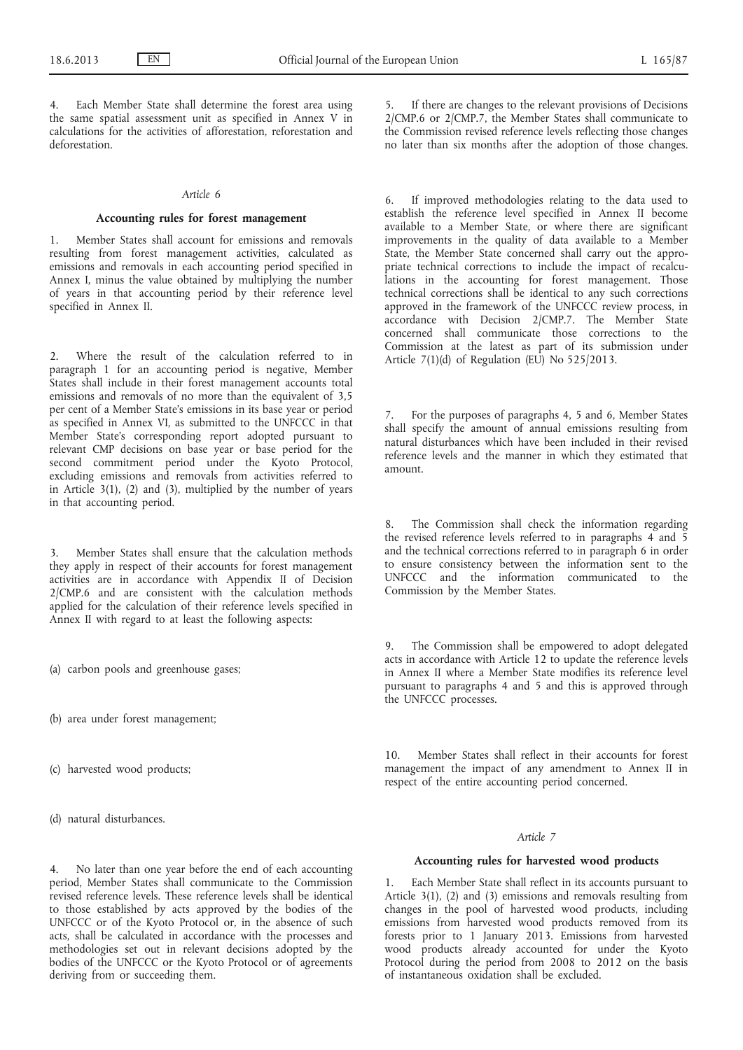Each Member State shall determine the forest area using the same spatial assessment unit as specified in Annex V in calculations for the activities of afforestation, reforestation and deforestation.

#### *Article 6*

## **Accounting rules for forest management**

1. Member States shall account for emissions and removals resulting from forest management activities, calculated as emissions and removals in each accounting period specified in Annex I, minus the value obtained by multiplying the number of years in that accounting period by their reference level specified in Annex II.

2. Where the result of the calculation referred to in paragraph 1 for an accounting period is negative, Member States shall include in their forest management accounts total emissions and removals of no more than the equivalent of 3,5 per cent of a Member State's emissions in its base year or period as specified in Annex VI, as submitted to the UNFCCC in that Member State's corresponding report adopted pursuant to relevant CMP decisions on base year or base period for the second commitment period under the Kyoto Protocol, excluding emissions and removals from activities referred to in Article 3(1), (2) and (3), multiplied by the number of years in that accounting period.

3. Member States shall ensure that the calculation methods they apply in respect of their accounts for forest management activities are in accordance with Appendix II of Decision 2/CMP.6 and are consistent with the calculation methods applied for the calculation of their reference levels specified in Annex II with regard to at least the following aspects:

- (a) carbon pools and greenhouse gases;
- (b) area under forest management;
- (c) harvested wood products;

(d) natural disturbances.

If there are changes to the relevant provisions of Decisions 2/CMP.6 or 2/CMP.7, the Member States shall communicate to the Commission revised reference levels reflecting those changes no later than six months after the adoption of those changes.

6. If improved methodologies relating to the data used to establish the reference level specified in Annex II become available to a Member State, or where there are significant improvements in the quality of data available to a Member State, the Member State concerned shall carry out the appropriate technical corrections to include the impact of recalculations in the accounting for forest management. Those technical corrections shall be identical to any such corrections approved in the framework of the UNFCCC review process, in accordance with Decision 2/CMP.7. The Member State concerned shall communicate those corrections to the Commission at the latest as part of its submission under Article  $7(1)(d)$  of Regulation (EU) No 525/2013.

7. For the purposes of paragraphs 4, 5 and 6, Member States shall specify the amount of annual emissions resulting from natural disturbances which have been included in their revised reference levels and the manner in which they estimated that amount.

The Commission shall check the information regarding the revised reference levels referred to in paragraphs  $\overline{4}$  and  $\overline{5}$ and the technical corrections referred to in paragraph 6 in order to ensure consistency between the information sent to the UNFCCC and the information communicated to the Commission by the Member States.

9. The Commission shall be empowered to adopt delegated acts in accordance with Article 12 to update the reference levels in Annex II where a Member State modifies its reference level pursuant to paragraphs 4 and 5 and this is approved through the UNFCCC processes.

10. Member States shall reflect in their accounts for forest management the impact of any amendment to Annex II in respect of the entire accounting period concerned.

## *Article 7*

#### **Accounting rules for harvested wood products**

1. Each Member State shall reflect in its accounts pursuant to Article 3(1), (2) and (3) emissions and removals resulting from changes in the pool of harvested wood products, including emissions from harvested wood products removed from its forests prior to 1 January 2013. Emissions from harvested wood products already accounted for under the Kyoto Protocol during the period from 2008 to 2012 on the basis of instantaneous oxidation shall be excluded.

4. No later than one year before the end of each accounting period, Member States shall communicate to the Commission revised reference levels. These reference levels shall be identical to those established by acts approved by the bodies of the UNFCCC or of the Kyoto Protocol or, in the absence of such acts, shall be calculated in accordance with the processes and methodologies set out in relevant decisions adopted by the bodies of the UNFCCC or the Kyoto Protocol or of agreements deriving from or succeeding them.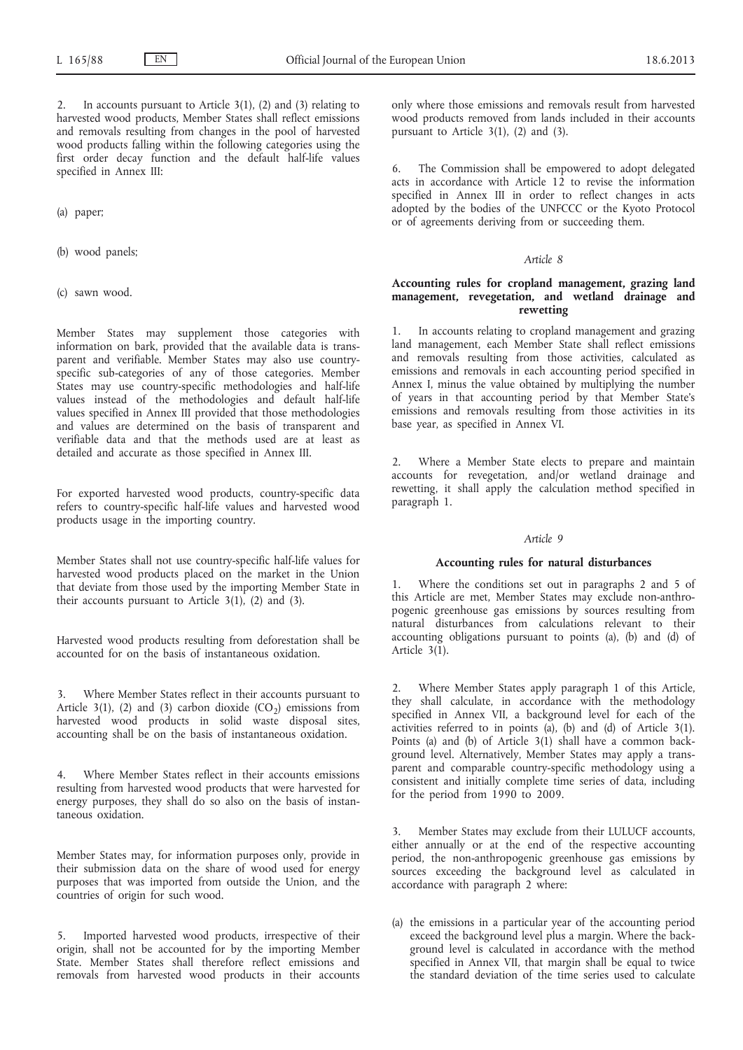In accounts pursuant to Article  $3(1)$ ,  $(2)$  and  $(3)$  relating to harvested wood products, Member States shall reflect emissions and removals resulting from changes in the pool of harvested wood products falling within the following categories using the first order decay function and the default half-life values specified in Annex III:

(a) paper;

- (b) wood panels;
- (c) sawn wood.

Member States may supplement those categories with information on bark, provided that the available data is transparent and verifiable. Member States may also use countryspecific sub-categories of any of those categories. Member States may use country-specific methodologies and half-life values instead of the methodologies and default half-life values specified in Annex III provided that those methodologies and values are determined on the basis of transparent and verifiable data and that the methods used are at least as detailed and accurate as those specified in Annex III.

For exported harvested wood products, country-specific data refers to country-specific half-life values and harvested wood products usage in the importing country.

Member States shall not use country-specific half-life values for harvested wood products placed on the market in the Union that deviate from those used by the importing Member State in their accounts pursuant to Article  $3(1)$ ,  $(2)$  and  $(3)$ .

Harvested wood products resulting from deforestation shall be accounted for on the basis of instantaneous oxidation.

3. Where Member States reflect in their accounts pursuant to Article 3(1), (2) and (3) carbon dioxide  $(CO_2)$  emissions from harvested wood products in solid waste disposal sites, accounting shall be on the basis of instantaneous oxidation.

4. Where Member States reflect in their accounts emissions resulting from harvested wood products that were harvested for energy purposes, they shall do so also on the basis of instantaneous oxidation.

Member States may, for information purposes only, provide in their submission data on the share of wood used for energy purposes that was imported from outside the Union, and the countries of origin for such wood.

5. Imported harvested wood products, irrespective of their origin, shall not be accounted for by the importing Member State. Member States shall therefore reflect emissions and removals from harvested wood products in their accounts only where those emissions and removals result from harvested wood products removed from lands included in their accounts pursuant to Article 3(1), (2) and (3).

6. The Commission shall be empowered to adopt delegated acts in accordance with Article 12 to revise the information specified in Annex III in order to reflect changes in acts adopted by the bodies of the UNFCCC or the Kyoto Protocol or of agreements deriving from or succeeding them.

#### *Article 8*

# **Accounting rules for cropland management, grazing land management, revegetation, and wetland drainage and rewetting**

1. In accounts relating to cropland management and grazing land management, each Member State shall reflect emissions and removals resulting from those activities, calculated as emissions and removals in each accounting period specified in Annex I, minus the value obtained by multiplying the number of years in that accounting period by that Member State's emissions and removals resulting from those activities in its base year, as specified in Annex VI.

Where a Member State elects to prepare and maintain accounts for revegetation, and/or wetland drainage and rewetting, it shall apply the calculation method specified in paragraph 1.

#### *Article 9*

#### **Accounting rules for natural disturbances**

Where the conditions set out in paragraphs 2 and 5 of this Article are met, Member States may exclude non-anthropogenic greenhouse gas emissions by sources resulting from natural disturbances from calculations relevant to their accounting obligations pursuant to points (a), (b) and (d) of Article  $3(1)$ .

2. Where Member States apply paragraph 1 of this Article, they shall calculate, in accordance with the methodology specified in Annex VII, a background level for each of the activities referred to in points (a), (b) and (d) of Article 3(1). Points (a) and (b) of Article 3(1) shall have a common background level. Alternatively, Member States may apply a transparent and comparable country-specific methodology using a consistent and initially complete time series of data, including for the period from 1990 to 2009.

3. Member States may exclude from their LULUCF accounts, either annually or at the end of the respective accounting period, the non-anthropogenic greenhouse gas emissions by sources exceeding the background level as calculated in accordance with paragraph 2 where:

(a) the emissions in a particular year of the accounting period exceed the background level plus a margin. Where the background level is calculated in accordance with the method specified in Annex VII, that margin shall be equal to twice the standard deviation of the time series used to calculate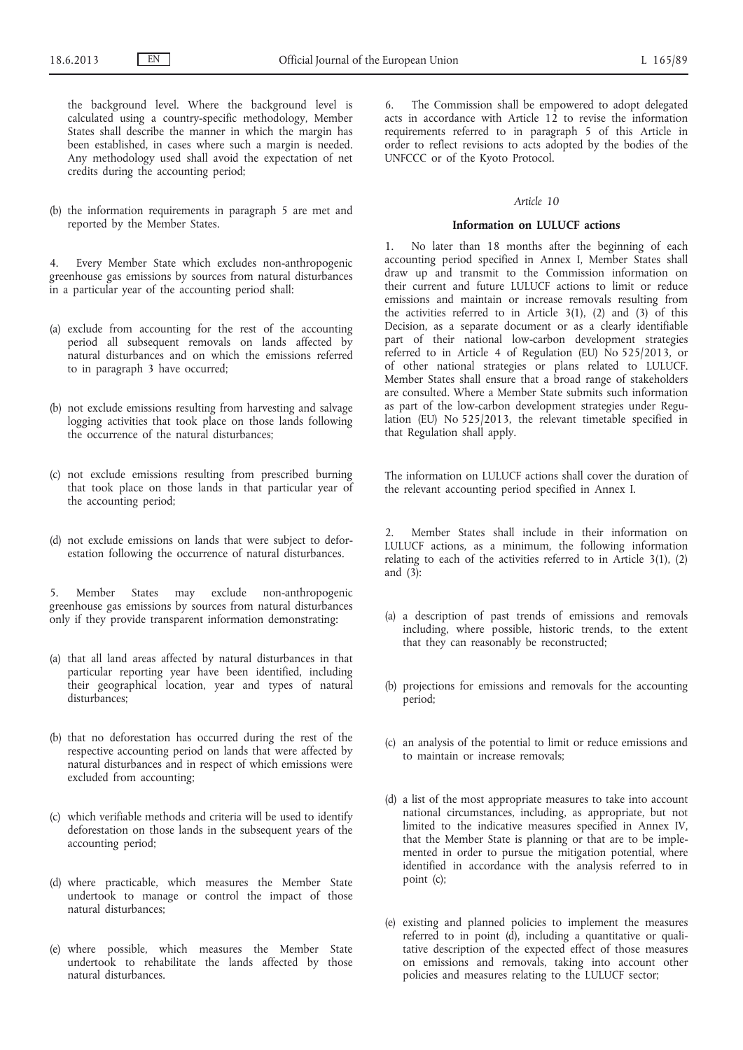the background level. Where the background level is calculated using a country-specific methodology, Member States shall describe the manner in which the margin has been established, in cases where such a margin is needed. Any methodology used shall avoid the expectation of net credits during the accounting period;

(b) the information requirements in paragraph 5 are met and reported by the Member States.

4. Every Member State which excludes non-anthropogenic greenhouse gas emissions by sources from natural disturbances in a particular year of the accounting period shall:

- (a) exclude from accounting for the rest of the accounting period all subsequent removals on lands affected by natural disturbances and on which the emissions referred to in paragraph 3 have occurred;
- (b) not exclude emissions resulting from harvesting and salvage logging activities that took place on those lands following the occurrence of the natural disturbances;
- (c) not exclude emissions resulting from prescribed burning that took place on those lands in that particular year of the accounting period;
- (d) not exclude emissions on lands that were subject to deforestation following the occurrence of natural disturbances.

5. Member States may exclude non-anthropogenic greenhouse gas emissions by sources from natural disturbances only if they provide transparent information demonstrating:

- (a) that all land areas affected by natural disturbances in that particular reporting year have been identified, including their geographical location, year and types of natural disturbances:
- (b) that no deforestation has occurred during the rest of the respective accounting period on lands that were affected by natural disturbances and in respect of which emissions were excluded from accounting;
- (c) which verifiable methods and criteria will be used to identify deforestation on those lands in the subsequent years of the accounting period;
- (d) where practicable, which measures the Member State undertook to manage or control the impact of those natural disturbances;
- (e) where possible, which measures the Member State undertook to rehabilitate the lands affected by those natural disturbances.

6. The Commission shall be empowered to adopt delegated acts in accordance with Article 12 to revise the information requirements referred to in paragraph 5 of this Article in order to reflect revisions to acts adopted by the bodies of the UNFCCC or of the Kyoto Protocol.

## *Article 10*

## **Information on LULUCF actions**

1. No later than 18 months after the beginning of each accounting period specified in Annex I, Member States shall draw up and transmit to the Commission information on their current and future LULUCF actions to limit or reduce emissions and maintain or increase removals resulting from the activities referred to in Article 3(1), (2) and (3) of this Decision, as a separate document or as a clearly identifiable part of their national low-carbon development strategies referred to in Article 4 of Regulation (EU) No 525/2013, or of other national strategies or plans related to LULUCF. Member States shall ensure that a broad range of stakeholders are consulted. Where a Member State submits such information as part of the low-carbon development strategies under Regulation (EU) No 525/2013, the relevant timetable specified in that Regulation shall apply.

The information on LULUCF actions shall cover the duration of the relevant accounting period specified in Annex I.

2. Member States shall include in their information on LULUCF actions, as a minimum, the following information relating to each of the activities referred to in Article 3(1), (2) and (3):

- (a) a description of past trends of emissions and removals including, where possible, historic trends, to the extent that they can reasonably be reconstructed;
- (b) projections for emissions and removals for the accounting period;
- (c) an analysis of the potential to limit or reduce emissions and to maintain or increase removals;
- (d) a list of the most appropriate measures to take into account national circumstances, including, as appropriate, but not limited to the indicative measures specified in Annex IV, that the Member State is planning or that are to be implemented in order to pursue the mitigation potential, where identified in accordance with the analysis referred to in point (c);
- (e) existing and planned policies to implement the measures referred to in point (d), including a quantitative or qualitative description of the expected effect of those measures on emissions and removals, taking into account other policies and measures relating to the LULUCF sector;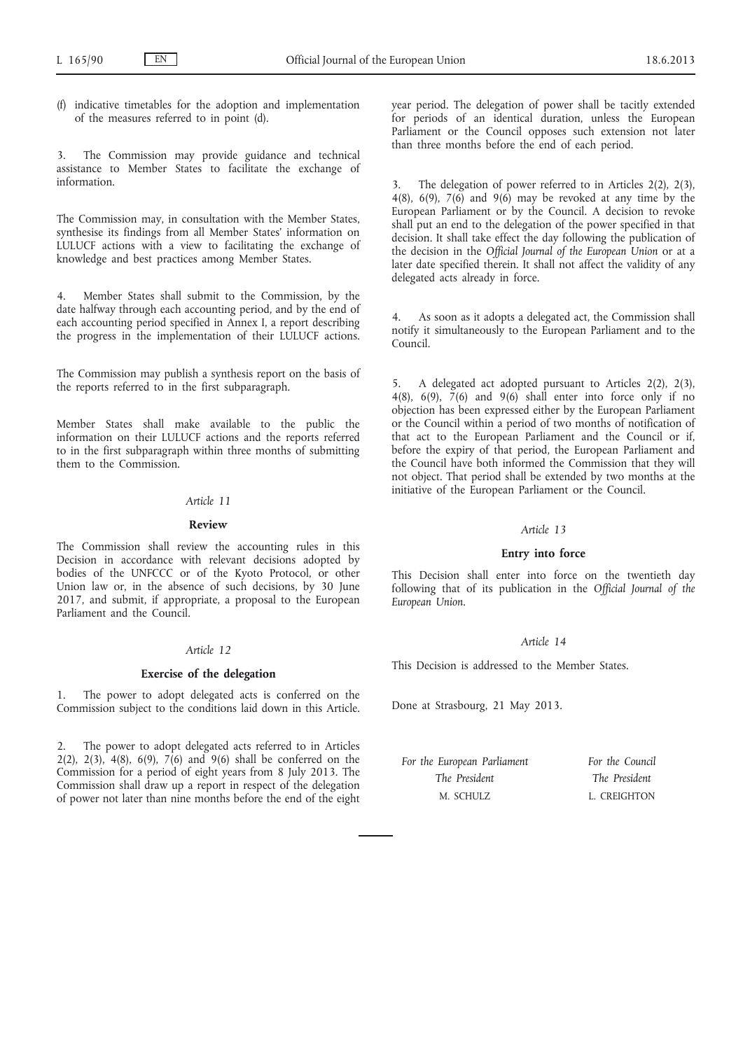(f) indicative timetables for the adoption and implementation of the measures referred to in point (d).

3. The Commission may provide guidance and technical assistance to Member States to facilitate the exchange of information.

The Commission may, in consultation with the Member States, synthesise its findings from all Member States' information on LULUCF actions with a view to facilitating the exchange of knowledge and best practices among Member States.

4. Member States shall submit to the Commission, by the date halfway through each accounting period, and by the end of each accounting period specified in Annex I, a report describing the progress in the implementation of their LULUCF actions.

The Commission may publish a synthesis report on the basis of the reports referred to in the first subparagraph.

Member States shall make available to the public the information on their LULUCF actions and the reports referred to in the first subparagraph within three months of submitting them to the Commission.

#### *Article 11*

#### **Review**

The Commission shall review the accounting rules in this Decision in accordance with relevant decisions adopted by bodies of the UNFCCC or of the Kyoto Protocol, or other Union law or, in the absence of such decisions, by 30 June 2017, and submit, if appropriate, a proposal to the European Parliament and the Council.

#### *Article 12*

## **Exercise of the delegation**

The power to adopt delegated acts is conferred on the Commission subject to the conditions laid down in this Article.

2. The power to adopt delegated acts referred to in Articles 2(2), 2(3), 4(8), 6(9), 7(6) and 9(6) shall be conferred on the Commission for a period of eight years from 8 July 2013. The Commission shall draw up a report in respect of the delegation of power not later than nine months before the end of the eight year period. The delegation of power shall be tacitly extended for periods of an identical duration, unless the European Parliament or the Council opposes such extension not later than three months before the end of each period.

3. The delegation of power referred to in Articles 2(2), 2(3), 4(8), 6(9), 7(6) and 9(6) may be revoked at any time by the European Parliament or by the Council. A decision to revoke shall put an end to the delegation of the power specified in that decision. It shall take effect the day following the publication of the decision in the *Official Journal of the European Union* or at a later date specified therein. It shall not affect the validity of any delegated acts already in force.

As soon as it adopts a delegated act, the Commission shall notify it simultaneously to the European Parliament and to the Council.

5. A delegated act adopted pursuant to Articles 2(2), 2(3), 4(8), 6(9),  $\tilde{7}(6)$  and 9(6) shall enter into force only if no objection has been expressed either by the European Parliament or the Council within a period of two months of notification of that act to the European Parliament and the Council or if, before the expiry of that period, the European Parliament and the Council have both informed the Commission that they will not object. That period shall be extended by two months at the initiative of the European Parliament or the Council.

# *Article 13*

## **Entry into force**

This Decision shall enter into force on the twentieth day following that of its publication in the *Official Journal of the European Union*.

#### *Article 14*

This Decision is addressed to the Member States.

Done at Strasbourg, 21 May 2013.

| For the European Parliament | For the Council |
|-----------------------------|-----------------|
| The President               | The President   |
| M. SCHULZ                   | L. CREIGHTON    |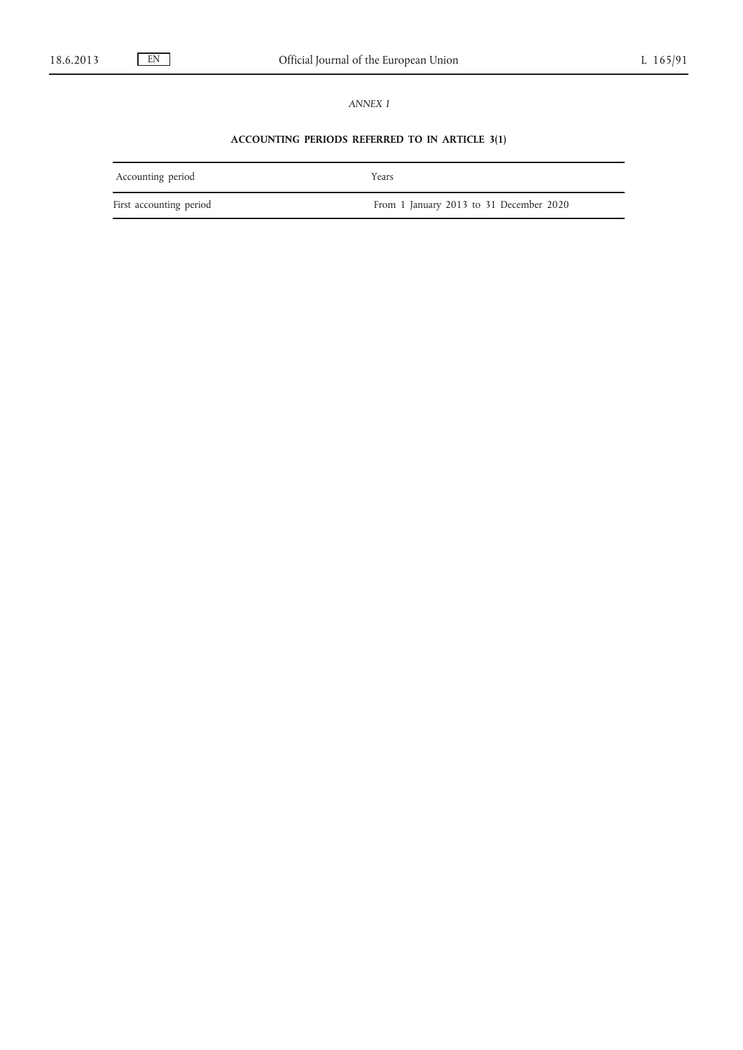# *ANNEX I*

# **ACCOUNTING PERIODS REFERRED TO IN ARTICLE 3(1)**

| Accounting period       | Years                                   |
|-------------------------|-----------------------------------------|
| First accounting period | From 1 January 2013 to 31 December 2020 |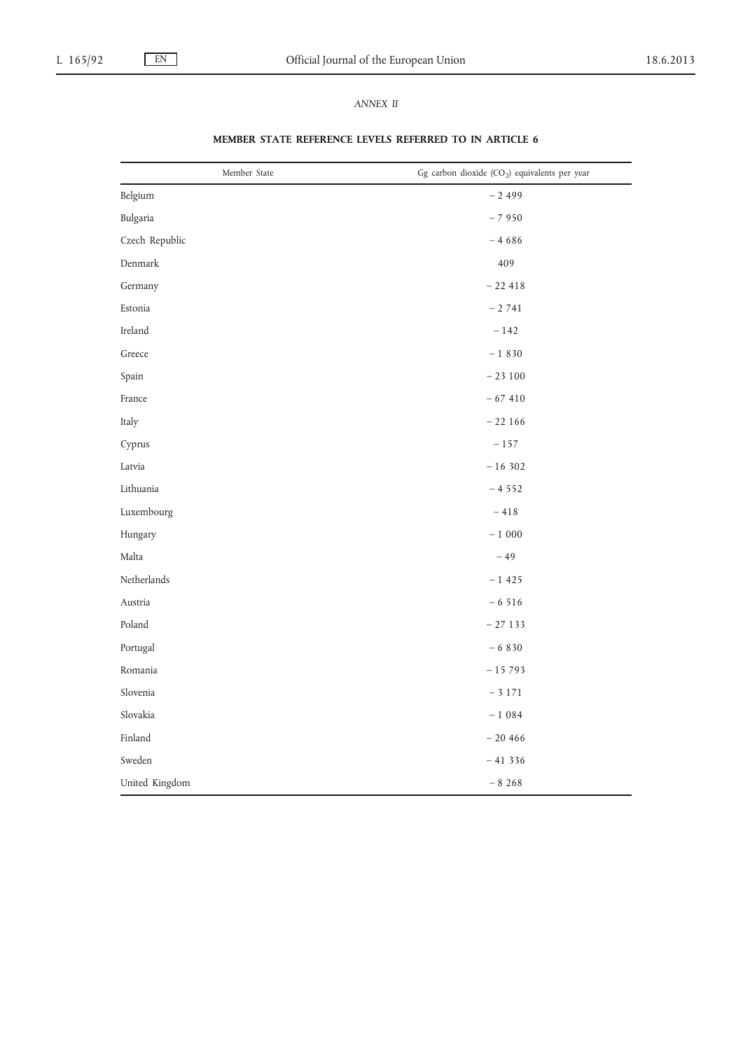# *ANNEX II*

| Member State            | Gg carbon dioxide (CO <sub>2</sub> ) equivalents per year |
|-------------------------|-----------------------------------------------------------|
| Belgium                 | $-2499$                                                   |
| Bulgaria                | $-7950$                                                   |
| Czech Republic          | $-4686$                                                   |
| Denmark                 | 409                                                       |
| Germany                 | $-22418$                                                  |
| Estonia                 | $-2741$                                                   |
| Ireland                 | $-142$                                                    |
| $\operatorname{Greece}$ | $-1830$                                                   |
| Spain                   | $-23100$                                                  |
| France                  | $-67410$                                                  |
| Italy                   | $-22166$                                                  |
| Cyprus                  | $- \, 157$                                                |
| Latvia                  | $-16302$                                                  |
| Lithuania               | $-4552$                                                   |
| Luxembourg              | $-$ 418 $\,$                                              |
| Hungary                 | $-$ 1 $\,000$                                             |
| Malta                   | $-49$                                                     |
| $\mbox{Netherlands}$    | $-1425$                                                   |
| Austria                 | $-6516$                                                   |
| Poland                  | $-27133$                                                  |
| Portugal                | $-6830$                                                   |
| Romania                 | $-15793$                                                  |
| Slovenia                | $-$ 3 171 $\,$                                            |
| Slovakia                | $-1084$                                                   |
| Finland                 | $-20466$                                                  |
| Sweden                  | $-41336$                                                  |
| United Kingdom          | $-8268$                                                   |

# **MEMBER STATE REFERENCE LEVELS REFERRED TO IN ARTICLE 6**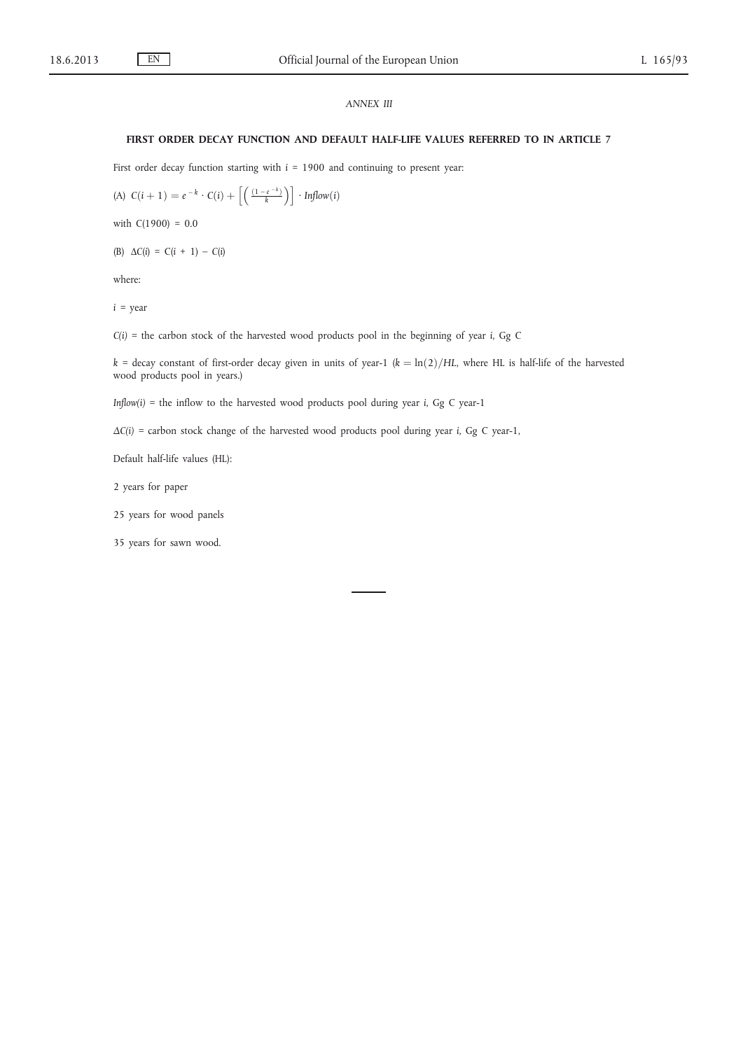# *ANNEX III*

#### **FIRST ORDER DECAY FUNCTION AND DEFAULT HALF-LIFE VALUES REFERRED TO IN ARTICLE 7**

First order decay function starting with  $i = 1900$  and continuing to present year:

(A) 
$$
C(i + 1) = e^{-k} \cdot C(i) + \left[ \left( \frac{(1 - e^{-k})}{k} \right) \right] \cdot \text{Infow}(i)
$$

with  $C(1900) = 0.0$ 

(B) Δ*C*(*i*) = C(*i* + 1) – *C*(*i*)

where:

*i =* year

*C(i) =* the carbon stock of the harvested wood products pool in the beginning of year *i*, Gg C

 $k =$  decay constant of first-order decay given in units of year-1 ( $k = \ln(2)/HL$ , where HL is half-life of the harvested wood products pool in years.)

*Inflow(i) =* the inflow to the harvested wood products pool during year *i*, Gg C year-1

*ΔC(i) =* carbon stock change of the harvested wood products pool during year *i*, Gg C year-1,

Default half-life values (HL):

2 years for paper

25 years for wood panels

35 years for sawn wood.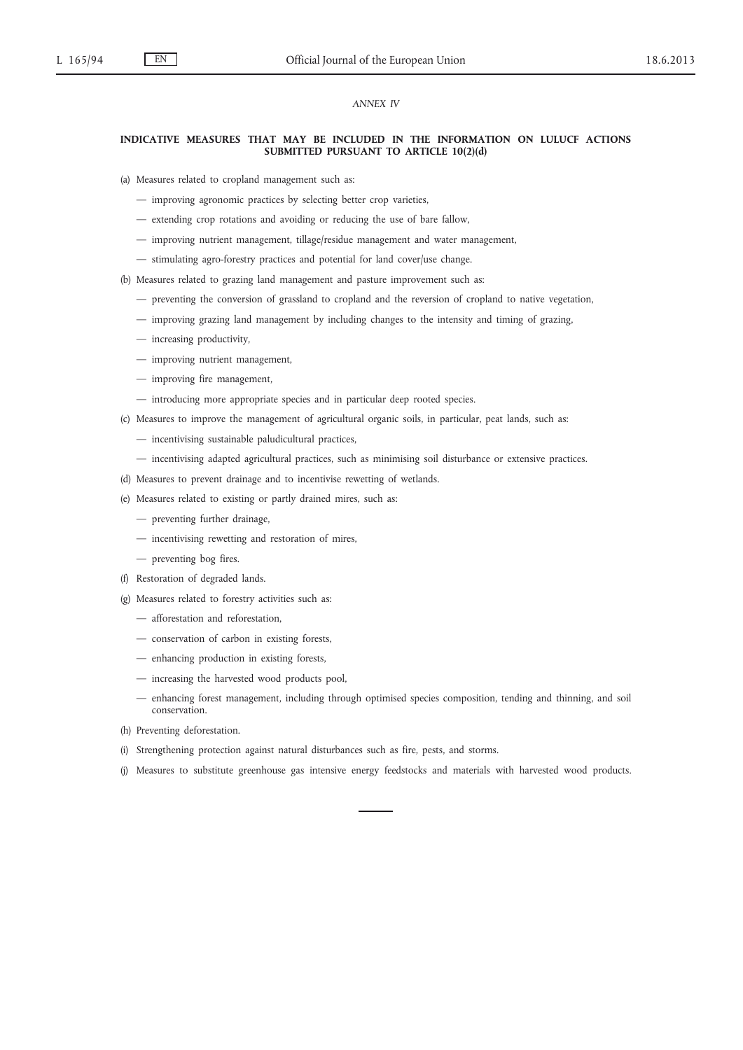## *ANNEX IV*

#### **INDICATIVE MEASURES THAT MAY BE INCLUDED IN THE INFORMATION ON LULUCF ACTIONS SUBMITTED PURSUANT TO ARTICLE 10(2)(d)**

(a) Measures related to cropland management such as:

- improving agronomic practices by selecting better crop varieties,
- extending crop rotations and avoiding or reducing the use of bare fallow,
- improving nutrient management, tillage/residue management and water management,
- stimulating agro-forestry practices and potential for land cover/use change.
- (b) Measures related to grazing land management and pasture improvement such as:
	- preventing the conversion of grassland to cropland and the reversion of cropland to native vegetation,
	- improving grazing land management by including changes to the intensity and timing of grazing,
	- increasing productivity,
	- improving nutrient management,
	- improving fire management,
	- introducing more appropriate species and in particular deep rooted species.
- (c) Measures to improve the management of agricultural organic soils, in particular, peat lands, such as:
	- incentivising sustainable paludicultural practices,
	- incentivising adapted agricultural practices, such as minimising soil disturbance or extensive practices.
- (d) Measures to prevent drainage and to incentivise rewetting of wetlands.
- (e) Measures related to existing or partly drained mires, such as:
	- preventing further drainage,
	- incentivising rewetting and restoration of mires,
	- preventing bog fires.
- (f) Restoration of degraded lands.
- (g) Measures related to forestry activities such as:
	- afforestation and reforestation,
	- conservation of carbon in existing forests,
	- enhancing production in existing forests,
	- increasing the harvested wood products pool,
	- enhancing forest management, including through optimised species composition, tending and thinning, and soil conservation.
- (h) Preventing deforestation.
- (i) Strengthening protection against natural disturbances such as fire, pests, and storms.
- (j) Measures to substitute greenhouse gas intensive energy feedstocks and materials with harvested wood products.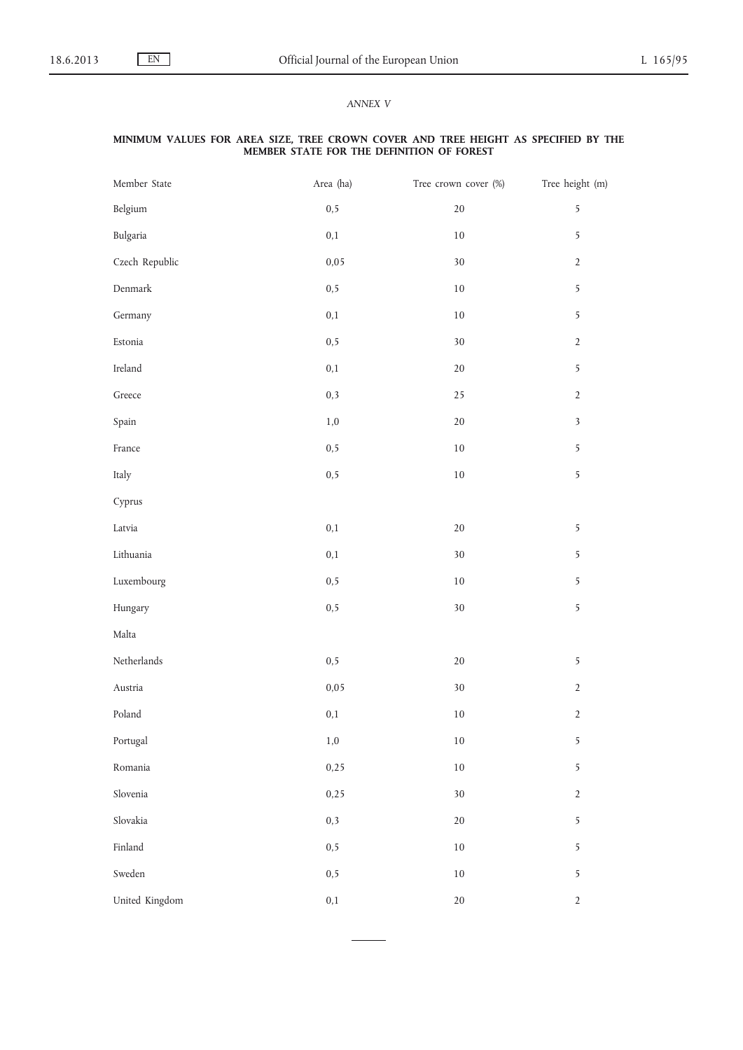# *ANNEX V*

#### **MINIMUM VALUES FOR AREA SIZE, TREE CROWN COVER AND TREE HEIGHT AS SPECIFIED BY THE MEMBER STATE FOR THE DEFINITION OF FOREST**

| Member State                    | Area (ha) | Tree crown cover (%) | Tree height (m)         |
|---------------------------------|-----------|----------------------|-------------------------|
| Belgium                         | 0, 5      | $20\,$               | 5                       |
| Bulgaria                        | $\rm 0,1$ | $10\,$               | 5                       |
| Czech Republic                  | 0,05      | $30\,$               | $\sqrt{2}$              |
| Denmark                         | 0, 5      | $10\,$               | 5                       |
| Germany                         | 0,1       | $10\,$               | 5                       |
| $\ensuremath{\textsc{Estonia}}$ | 0, 5      | $30\,$               | $\sqrt{2}$              |
| $I$ reland                      | $\rm 0,1$ | $20\,$               | 5                       |
| $\operatorname{Greece}$         | 0,3       | 25                   | $\sqrt{2}$              |
| Spain                           | $1,\!0$   | $20\,$               | $\overline{\mathbf{3}}$ |
| $\ensuremath{\mathsf{France}}$  | 0, 5      | $10\,$               | 5                       |
| Italy                           | 0, 5      | $10\,$               | 5                       |
| Cyprus                          |           |                      |                         |
| Latvia                          | $\rm 0,1$ | $20\,$               | 5                       |
| Lithuania                       | 0,1       | $30\,$               | 5                       |
| Luxembourg                      | 0, 5      | $10\,$               | 5                       |
| Hungary                         | 0, 5      | $30\,$               | 5                       |
| Malta                           |           |                      |                         |
| $\mbox{Netherlands}$            | 0, 5      | $20\,$               | 5                       |
| Austria                         | 0,05      | $30\,$               | $\sqrt{2}$              |
| Poland                          | 0,1       | $10\,$               | $\sqrt{2}$              |
| Portugal                        | $1,\!0$   | $10\,$               | 5                       |
| Romania                         | 0,25      | $10\,$               | 5                       |
| Slovenia                        | 0,25      | $30\,$               | $\sqrt{2}$              |
| Slovakia                        | 0,3       | $20\,$               | 5                       |
| Finland                         | 0, 5      | $10\,$               | 5                       |
| Sweden                          | 0, 5      | $10\,$               | 5                       |
| United Kingdom                  | $\rm 0,1$ | $20\,$               | $\sqrt{2}$              |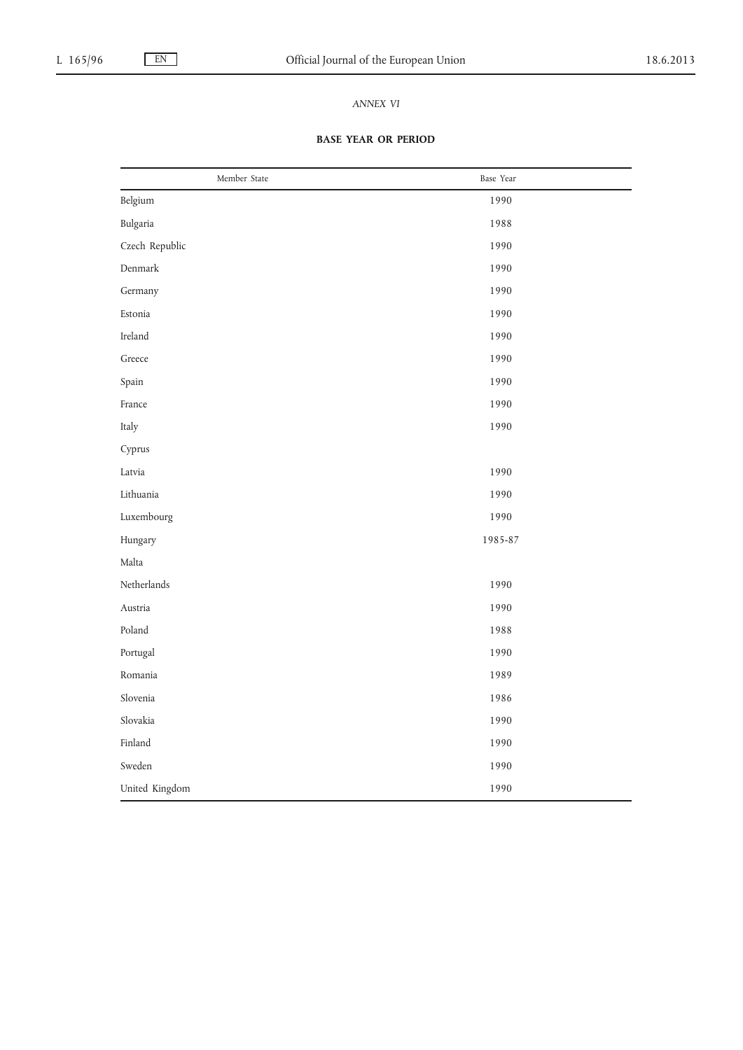# *ANNEX VI*

# **BASE YEAR OR PERIOD**

| Member State   | Base Year |
|----------------|-----------|
| Belgium        | 1990      |
| Bulgaria       | 1988      |
| Czech Republic | 1990      |
| Denmark        | 1990      |
| Germany        | 1990      |
| Estonia        | 1990      |
| Ireland        | 1990      |
| Greece         | 1990      |
| Spain          | 1990      |
| France         | 1990      |
| Italy          | 1990      |
| Cyprus         |           |
| Latvia         | 1990      |
| Lithuania      | 1990      |
| Luxembourg     | 1990      |
| Hungary        | 1985-87   |
| Malta          |           |
| Netherlands    | 1990      |
| Austria        | 1990      |
| Poland         | 1988      |
| Portugal       | 1990      |
| Romania        | 1989      |
| Slovenia       | 1986      |
| Slovakia       | 1990      |
| Finland        | 1990      |
| Sweden         | 1990      |
| United Kingdom | 1990      |